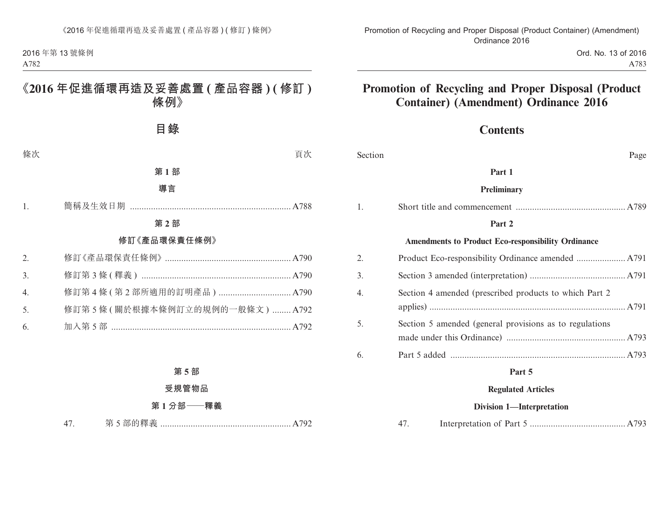2016 年第 13 號條例 A782

# **《2016 年促進循環再造及妥善處置 ( 產品容器 ) ( 修訂 ) 條例》**

**目錄**

條次 頁次

#### **第 1 部**

#### **導言**

1. 簡稱及生效日期 ..................................................................... A788

#### **第 2 部**

#### **修訂《產品環保責任條例》**

| 2.             |                               |  |
|----------------|-------------------------------|--|
| 3 <sub>1</sub> |                               |  |
| $4_{\cdot}$    |                               |  |
| 5.             | 修訂第5條(關於根據本條例訂立的規例的一般條文) A792 |  |
| 6.             |                               |  |

### **第 5 部**

#### **受規管物品**

## **第 1 分部——釋義**

47. 第 5 部的釋義 ........................................................ A792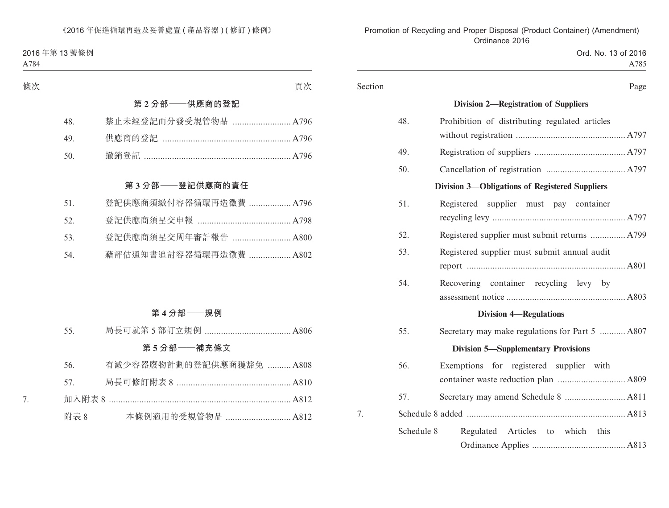#### 2016 年第 13 號條例 A784

| 條次  | 頁次                     |
|-----|------------------------|
|     | 第2分部 -- 供應商的登記         |
| 48. | 禁止未經登記而分發受規管物品  A796   |
| 49. |                        |
| 50. |                        |
|     |                        |
|     | 第3分部——登記供應商的責任         |
| 51. | 登記供應商須繳付容器循環再造徵費  A796 |
| 52. |                        |
| 53. | 登記供應商須呈交周年審計報告  A800   |
| 54. | 藉評估通知書追討容器循環再造徵費  A802 |
|     |                        |

## **第 4 分部——規例**

| 55. |  |
|-----|--|
|-----|--|

## **第 5 分部——補充條文**

|   | 56.     | 有減少容器廢物計劃的登記供應商獲豁免  A808 |  |
|---|---------|--------------------------|--|
|   | 57 — 10 |                          |  |
| 7 |         |                          |  |
|   | 附表 8    | 本條例適用的受規管物品  A812        |  |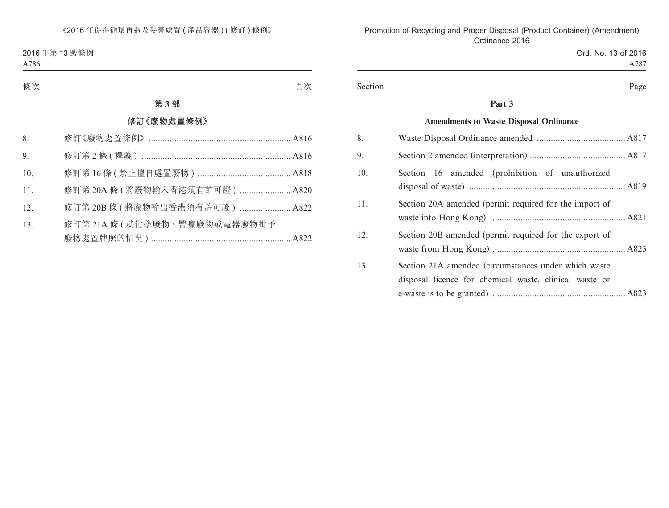### 2016 年第 13 號條例

A786

# **第 3 部**

### **修訂《廢物處置條例》**

| 8.  |                                  |  |
|-----|----------------------------------|--|
| 9.  |                                  |  |
| 10. |                                  |  |
| 11. | 修訂第 20A 條 ( 將廢物輸入香港須有許可證 )  A820 |  |
| 12. | 修訂第 20B 條 ( 將廢物輸出香港須有許可證 )  A822 |  |
| 13. | 修訂第21A條(就化學廢物、醫療廢物或電器廢物批予        |  |
|     |                                  |  |

#### 條次 いっちょう しょうしょう しゅうしょく かんしょう うちのう 買次 しょうしょう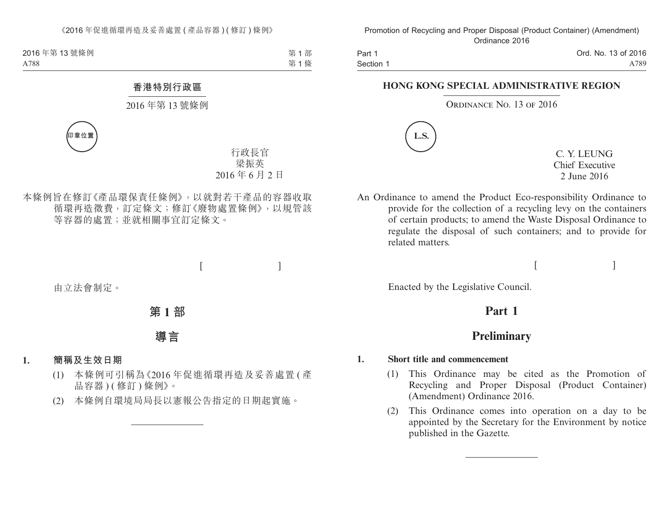2016年第13號條例 A788

第1部 第 1 條

### **香港特別行政區**

#### 2016 年第 13 號條例



行政長官 梁振英 2016 年 6 月 2 日

本條例旨在修訂《產品環保責任條例》,以就對若干產品的容器收取 循環再造徵費,訂定條文;修訂《廢物處置條例》,以規管該 等容器的處置;並就相關事宜訂定條文。

 $[$ 

由立法會制定。

**第 1 部**

**導言**

### **1. 簡稱及生效日期**

- (1) 本條例可引稱為《2016 年促進循環再造及妥善處置 ( 產 品容器)(修訂)條例》。
- (2) 本條例自環境局局長以憲報公告指定的日期起實施。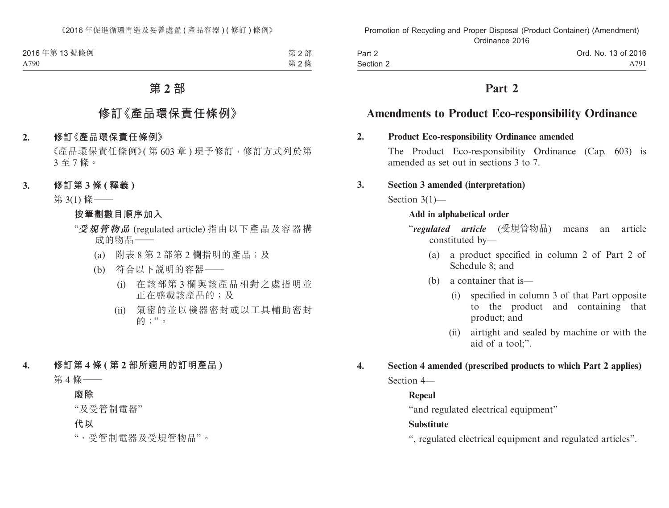| 2016年第13號條例 | 第2部 |
|-------------|-----|
| A790        | 第2條 |

# **第 2 部**

# **修訂《產品環保責任條例》**

#### **2. 修訂《產品環保責任條例》**

《產品環保責任條例》( 第 603 章 ) 現予修訂,修訂方式列於第 3 至 7 條。

#### **3. 修訂第 3 條 ( 釋義 )**

第 3(1) 條——

**按筆劃數目順序加入**

- "**受規管物品** (regulated article) 指由以下產品及容器構 成的物品——
	- (a) 附表 8 第 2 部第 2 欄指明的產品;及
	- (b) 符合以下說明的容器——
		- (i) 在該部第 3 欄與該產品相對之處指明並 正在盛載該產品的;及
		- (ii) 氣密的並以機器密封或以工具輔助密封 的;"。
- **4. 修訂第 4 條 ( 第 2 部所適用的訂明產品 )**

第 4 條——

#### **廢除**

"及受管制電器"

**代以**

"、受管制電器及受規管物品"。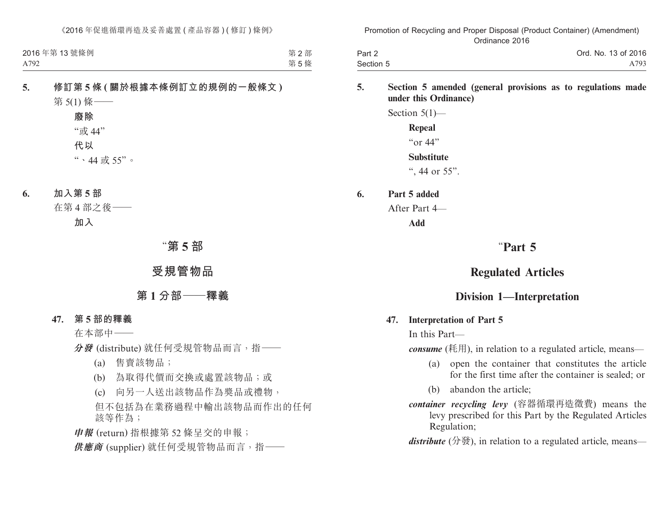| 2016年第13號條例 | 第2部 |
|-------------|-----|
| A792        | 第5條 |

# **5. 修訂第 5 條 ( 關於根據本條例訂立的規例的一般條文 )** 第 5(1) 條——

| 廢除         |   |
|------------|---|
| "或 44"     |   |
| 代以         |   |
| "、44 或 55" | Ó |

**6. 加入第 5 部**

在第 4 部之後——

**加入**

# "**第 5 部**

# **受規管物品**

# **第 1 分部——釋義**

 **47. 第 5 部的釋義**

在本部中——

**分發** (distribute) 就任何受規管物品而言,指——

- (a) 售賣該物品;
- (b) 為取得代價而交換或處置該物品;或
- (c) 向另一人送出該物品作為獎品或禮物,

但不包括為在業務過程中輸出該物品而作出的任何 該等作為;

**申報** (return) 指根據第 52 條呈交的申報; **供應商** (supplier) 就任何受規管物品而言,指——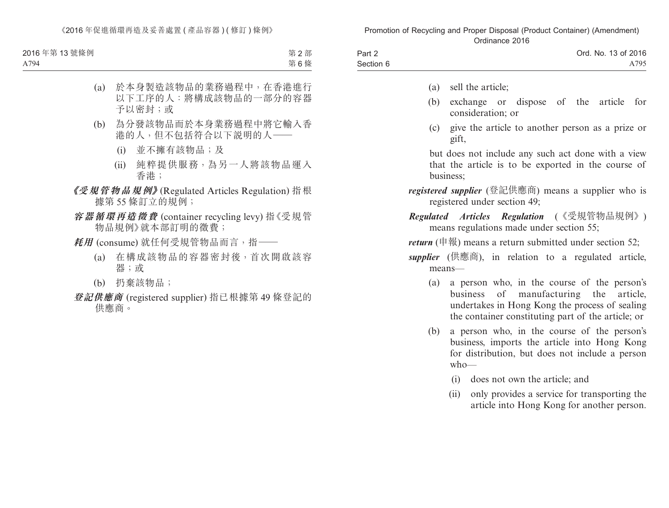《2016年促進循環再造及妥善處置 ( 產品容器 ) ( 修訂 ) 條例》

| 2016年第13號條例 | 第2部 |
|-------------|-----|
| A794        | 第6條 |

- (a) 於本身製造該物品的業務過程中,在香港進行 以下工序的人:將構成該物品的一部分的容器 予以密封;或
- (b) 為分發該物品而於本身業務過程中將它輸入香 港的人,但不包括符合以下說明的人——
	- (i) 並不擁有該物品;及
	- (ii) 純粹提供服務,為另一人將該物品運入 香港;
- **《受規管物品規例》**(Regulated Articles Regulation) 指根 據第 55 條訂立的規例;
- **容器循環再造徵費** (container recycling levy) 指《受規管 物品規例》就本部訂明的徵費;
- **耗用** (consume) 就任何受規管物品而言,指——
	- (a) 在構成該物品的容器密封後,首次開啟該容 器;或
	- (b) 扔棄該物品;
- **登記供應商** (registered supplier) 指已根據第 49 條登記的 供應商。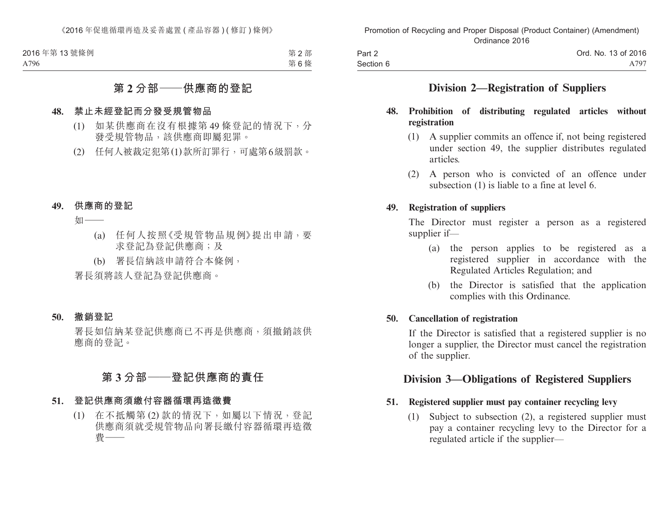| 2016年第13號條例 | 第2部 |
|-------------|-----|
| A796        | 第6條 |

# **第 2 分部——供應商的登記**

#### **48. 禁止未經登記而分發受規管物品**

- (1) 如某供應商在沒有根據第 49 條登記的情況下,分 發受規管物品,該供應商即屬犯罪。
- (2) 任何人被裁定犯第(1)款所訂罪行,可處第6級罰款。
- **49. 供應商的登記**

如——

- (a) 任何人按照《受規管物品規例》提出申請,要 求登記為登記供應商;及
- (b) 署長信納該申請符合本條例,

署長須將該人登記為登記供應商。

 **50. 撤銷登記**

署長如信納某登記供應商已不再是供應商,須撤銷該供 應商的登記。

# **第 3 分部——登記供應商的責任**

#### **51. 登記供應商須繳付容器循環再造徵費**

(1) 在不抵觸第 (2) 款的情況下,如屬以下情況,登記 供應商須就受規管物品向署長繳付容器循環再造徵 費——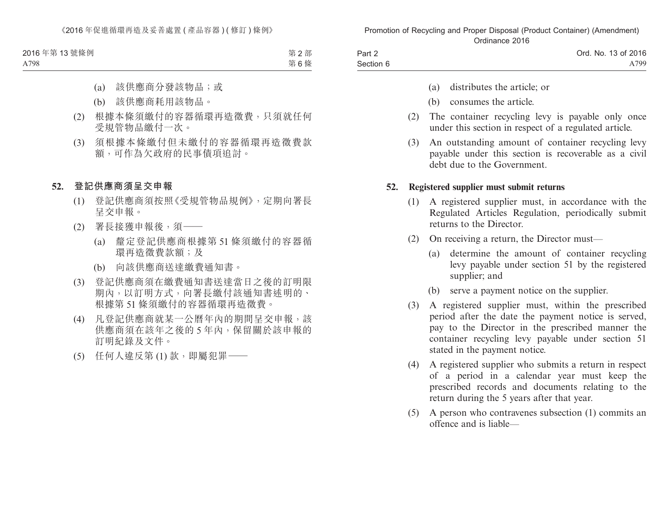| 2016年第13號條例 | 第2部 |
|-------------|-----|
| A798        | 第6條 |

- (a) 該供應商分發該物品;或
- (b) 該供應商耗用該物品。
- (2) 根據本條須繳付的容器循環再造徵費,只須就任何 受規管物品繳付一次。
- (3) 須根據本條繳付但未繳付的容器循環再造徵費款 額,可作為欠政府的民事債項追討。
- **52. 登記供應商須呈交申報**
	- (1) 登記供應商須按照《受規管物品規例》,定期向署長 呈交申報。
	- (2) 署長接獲申報後,須——
		- (a) 釐定登記供應商根據第 51 條須繳付的容器循 環再造徵費款額;及
		- (b) 向該供應商送達繳費通知書。
	- (3) 登記供應商須在繳費通知書送達當日之後的訂明限 期內,以訂明方式,向署長繳付該通知書述明的、 根據第 51 條須繳付的容器循環再造徵費。
	- (4) 凡登記供應商就某一公曆年內的期間呈交申報,該 供應商須在該年之後的 5 年內,保留關於該申報的 訂明紀錄及文件。
	- (5) 任何人違反第 (1) 款,即屬犯罪——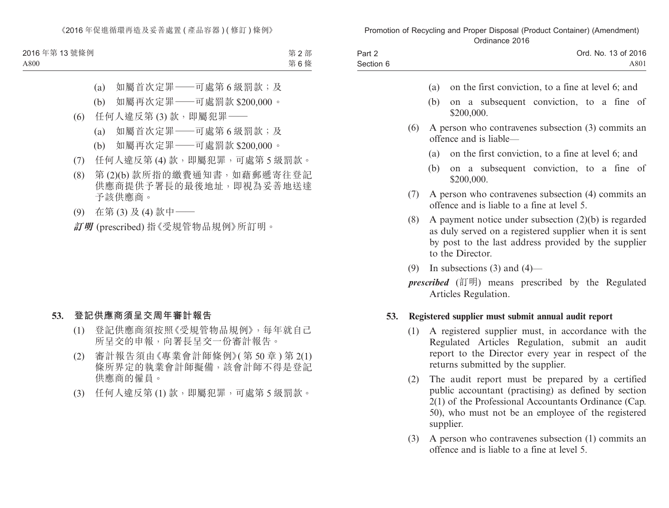| 2016年第13號條例 | 第2部 |
|-------------|-----|
| A800        | 第6條 |

- (a) 如屬首次定罪–––可處第 6 級罰款;及
- (b) 如屬再次定罪——可處罰款 \$200,000。
- (6) 任何人違反第 (3) 款,即屬犯罪——
	- (a) 如屬首次定罪——可處第 6 級罰款;及
	- (b) 如屬再次定罪——可處罰款 \$200,000。
- (7) 任何人違反第 (4) 款,即屬犯罪,可處第 5 級罰款。
- (8) 第 (2)(b) 款所指的繳費通知書,如藉郵遞寄往登記 供應商提供予署長的最後地址,即視為妥善地送達 予該供應商。
- (9) 在第 (3) 及 (4) 款中——

**訂明** (prescribed) 指《受規管物品規例》所訂明。

#### **53. 登記供應商須呈交周年審計報告**

- (1) 登記供應商須按照《受規管物品規例》,每年就自己 所呈交的申報,向署長呈交一份審計報告。
- (2) 審計報告須由《專業會計師條例》( 第 50 章 ) 第 2(1) 條所界定的執業會計師擬備,該會計師不得是登記 供應商的僱員。
- (3) 任何人違反第 (1) 款,即屬犯罪,可處第 5 級罰款。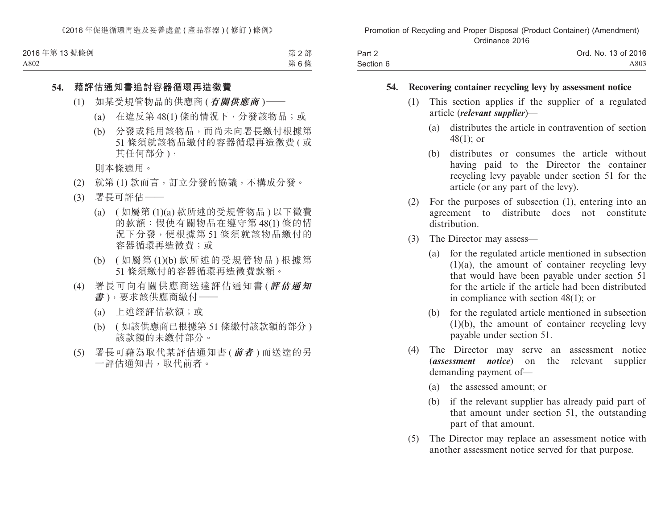| 2016年第13號條例 | 第2部 |
|-------------|-----|
| A802        | 第6條 |

#### **54. 藉評估通知書追討容器循環再造徵費**

- (1) 如某受規管物品的供應商 (**有關供應商** )——
	- (a) 在違反第 48(1) 條的情況下,分發該物品;或
	- (b) 分發或耗用該物品,而尚未向署長繳付根據第 51 條須就該物品繳付的容器循環再造徵費 ( 或 其任何部分 ),

則本條適用。

- (2) 就第 (1) 款而言,訂立分發的協議,不構成分發。
- (3) 署長可評估——
	- (a) ( 如屬第 (1)(a) 款所述的受規管物品 ) 以下徵費 的款額:假使有關物品在遵守第 48(1) 條的情 況下分發,便根據第 51 條須就該物品繳付的 容器循環再造徵費;或
	- (b) ( 如屬第 (1)(b) 款所述的受規管物品 ) 根據第 51 條須繳付的容器循環再造徵費款額。
- (4) 署長可向有關供應商送達評估通知書 (**評估通知 書** ),要求該供應商繳付——
	- (a) 上述經評估款額;或
	- (b) ( 如該供應商已根據第 51 條繳付該款額的部分 ) 該款額的未繳付部分。
- (5) 署長可藉為取代某評估通知書 (**前者** ) 而送達的另 一評估通知書,取代前者。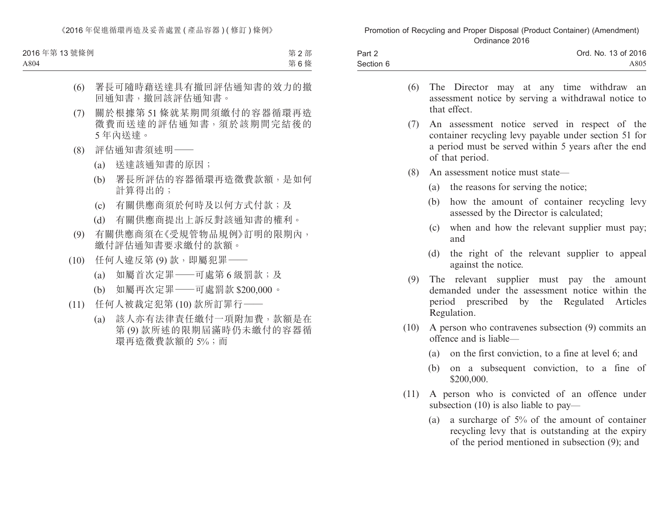《2016年促進循環再造及妥善處置 ( 產品容器 ) ( 修訂 ) 條例》

| 2016年第13號條例 | 第2部 |
|-------------|-----|
| A804        | 第6條 |

- (6) 署長可隨時藉送達具有撤回評估通知書的效力的撤 回通知書,撤回該評估通知書。
- (7) 關於根據第 51 條就某期間須繳付的容器循環再造 徵費而送達的評估通知書,須於該期間完結後的 5 年內送達。
- (8) 評估通知書須述明——
	- (a) 送達該通知書的原因;
	- (b) 署長所評估的容器循環再造徵費款額,是如何 計算得出的;
	- (c) 有關供應商須於何時及以何方式付款;及
	- (d) 有關供應商提出上訴反對該通知書的權利。
- (9) 有關供應商須在《受規管物品規例》訂明的限期內, 繳付評估通知書要求繳付的款額。
- (10) 任何人違反第 (9) 款,即屬犯罪——
	- (a) 如屬首次定罪——可處第 6 級罰款;及
	- (b) 如屬再次定罪——可處罰款 \$200,000。
- (11) 任何人被裁定犯第 (10) 款所訂罪行——
	- (a) 該人亦有法律責任繳付一項附加費,款額是在 第 (9) 款所述的限期屆滿時仍未繳付的容器循 環再浩徵費款額的 5%;而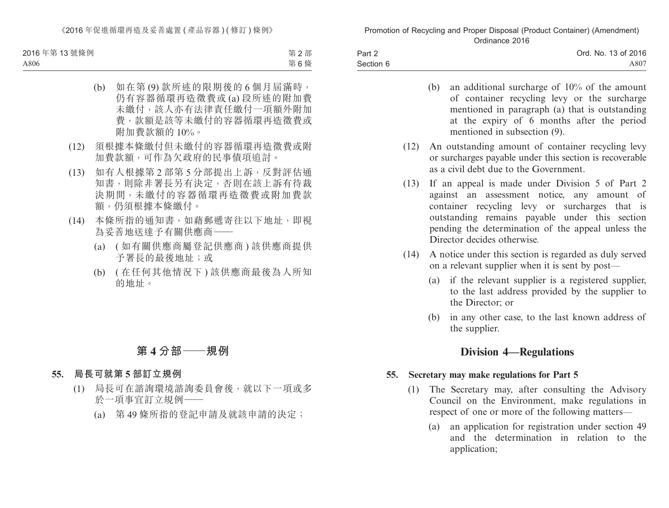《2016年促進循環再造及妥善處置 ( 產品容器 ) ( 修訂 ) 條例》

| 2016年第13號條例 | 第2部 |
|-------------|-----|
| A806        | 第6條 |

- (b) 如在第 (9) 款所述的限期後的 6 個月屆滿時, 仍有容器循環再造徵費或 (a) 段所述的附加費 未繳付,該人亦有法律責任繳付一項額外附加 費,款額是該等未繳付的容器循環再造徵費或 附加費款額的 10%。
- (12) 須根據本條繳付但未繳付的容器循環再造徵費或附 加費款額,可作為欠政府的民事債項追討。
- (13) 如有人根據第 2 部第 5 分部提出上訴,反對評估通 知書,則除非署長另有決定,否則在該上訴有待裁 決期間,未繳付的容器循環再造徵費或附加費款 額,仍須根據本條繳付。
- (14) 本條所指的通知書,如藉郵遞寄往以下地址,即視 為妥善地送達予有關供應商——
	- (a) ( 如有關供應商屬登記供應商 ) 該供應商提供 予署長的最後地址;或
	- (b) ( 在任何其他情況下 ) 該供應商最後為人所知 的地址。

# **第 4 分部——規例**

#### **55. 局長可就第 5 部訂立規例**

- (1) 局長可在諮詢環境諮詢委員會後,就以下一項或多 於一項事宜訂立規例——
	- (a) 第 49 條所指的登記申請及就該申請的決定;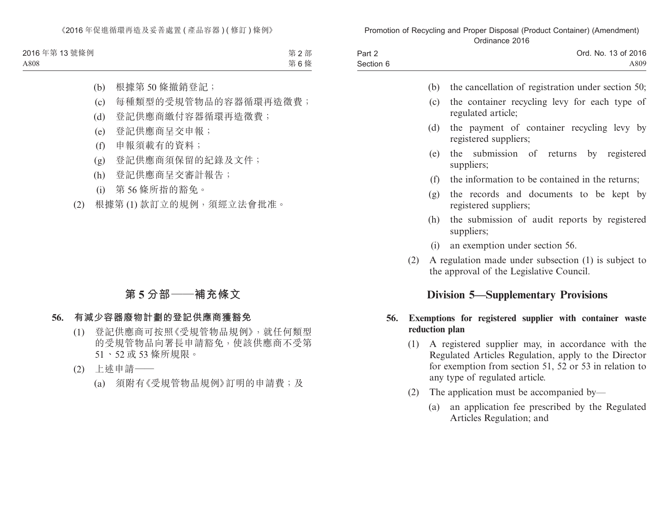| 2016年第13號條例 | 第2部 |
|-------------|-----|
| A808        | 第6條 |

- (b) 根據第 50 條撤銷登記;
- (c) 每種類型的受規管物品的容器循環再造徵費;
- (d) 登記供應商繳付容器循環再造徵費;
- (e) 登記供應商呈交申報;
- (f) 申報須載有的資料;
- (g) 登記供應商須保留的紀錄及文件;
- (h) 登記供應商呈交審計報告;
- (i) 第 56 條所指的豁免。
- (2) 根據第 (1) 款訂立的規例,須經立法會批准。

# **第 5 分部——補充條文**

## **56. 有減少容器廢物計劃的登記供應商獲豁免**

- (1) 登記供應商可按照《受規管物品規例》,就任何類型 的受規管物品向署長申請豁免,使該供應商不受第 51、52 或 53 條所規限。
- (2) 上述申請——
	- (a) 須附有《受規管物品規例》訂明的申請費;及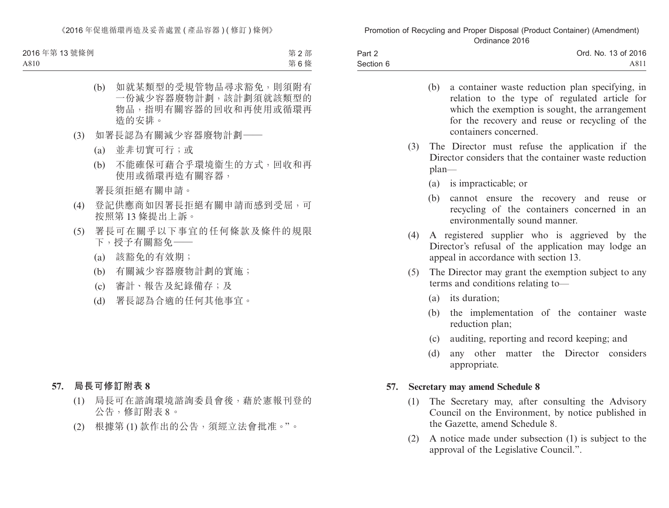《2016年促進循環再造及妥善處置 ( 產品容器 ) ( 修訂 ) 條例》

| 2016年第13號條例 | 第2部 |
|-------------|-----|
| A810        | 第6條 |

- (b) 如就某類型的受規管物品尋求豁免,則須附有 一份減少容器廢物計劃,該計劃須就該類型的 物品,指明有關容器的回收和再使用或循環再 造的安排。
- (3) 如署長認為有關減少容器廢物計劃——
	- (a) 並非切實可行;或
	- (b) 不能確保可藉合乎環境衞生的方式,回收和再 使用或循環再造有關容器,

署長須拒絕有關申請。

- (4) 登記供應商如因署長拒絕有關申請而感到受屈,可 按照第 13 條提出上訴。
- (5) 署長可在關乎以下事宜的任何條款及條件的規限 下,授予有關豁免——
	- (a) 該豁免的有效期;
	- (b) 有關減少容器廢物計劃的實施;
	- (c) 審計、報告及紀錄備存;及
	- (d) 署長認為合適的任何其他事宜。

### **57. 局長可修訂附表 8**

- (1) 局長可在諮詢環境諮詢委員會後,藉於憲報刊登的 公告,修訂附表 8。
- (2) 根據第 (1) 款作出的公告,須經立法會批准。"。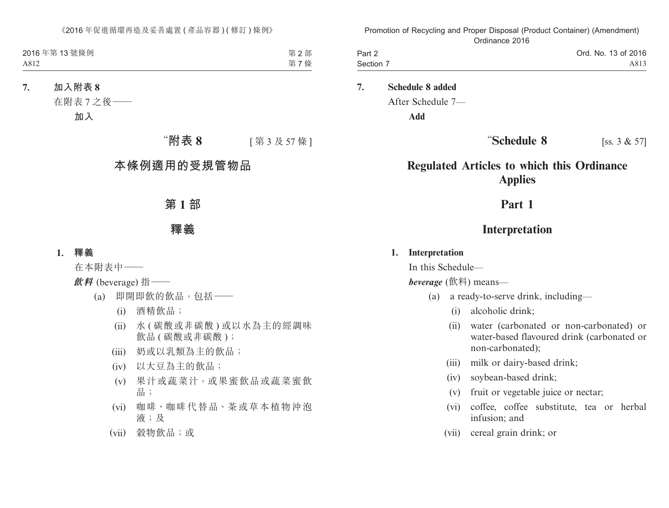| 2016年第13號條例 | 第2部 |
|-------------|-----|
| A812        | 第7條 |

**7. 加入附表 8**

在附表 7 之後——

**加入**

# "附表 8 <br>
[ 第 3 及 57 條 ]

# **本條例適用的受規管物品**

# **第 1 部**

## **釋義**

### **1. 釋義**

在本附表中——

**飲料** (beverage) 指——

- (a) 即開即飲的飲品,包括——
	- (i) 酒精飲品;
	- (ii) 水 ( 碳酸或非碳酸 ) 或以水為主的經調味 飲品 (碳酸或非碳酸);
	- (iii) 奶或以乳類為主的飲品;
	- (iv) 以大豆為主的飲品;
	- (v) 果汁或蔬菜汁,或果蜜飲品或蔬菜蜜飲 品;
	- (vi) 咖啡、咖啡代替品、茶或草本植物沖泡 液;及
	- (vii) 穀物飲品;或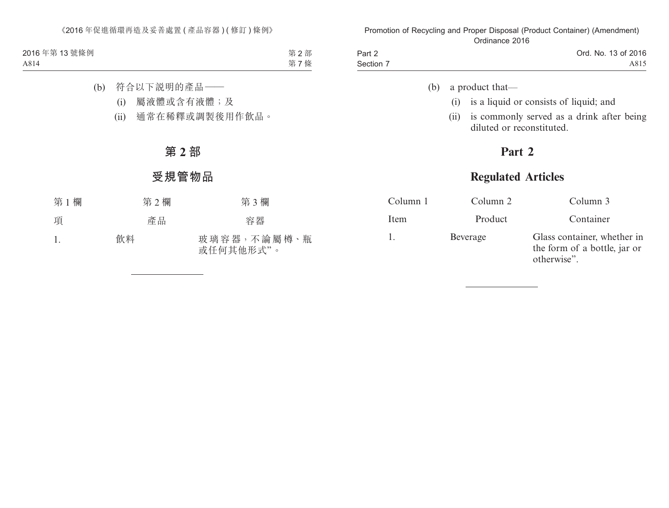| 2016年第13號條例 | 第2部 |
|-------------|-----|
| A814        | 第7條 |

- (b) 符合以下說明的產品——
	- (i) 屬液體或含有液體;及
	- (ii) 通常在稀釋或調製後用作飲品。

# **第 2 部**

# **受規管物品**

| 第1欄 | 第2欄 | 第3欄                      |
|-----|-----|--------------------------|
| 項   | 產品  | 容器                       |
| 1.  | 飲料  | 玻璃容器,不論屬樽、瓶<br>或任何其他形式"。 |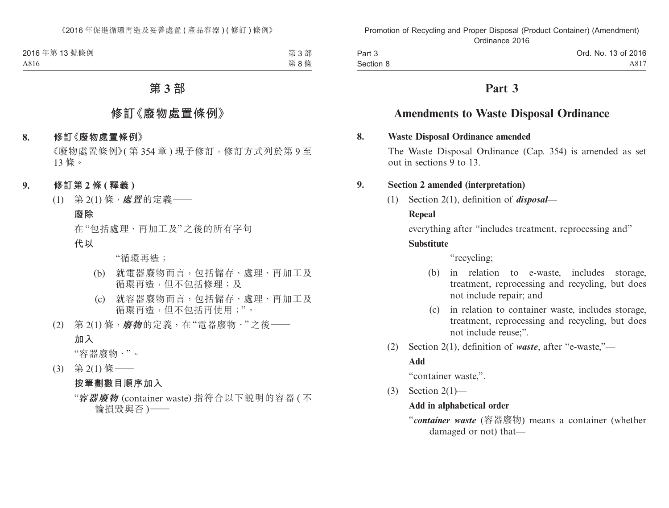| 2016年第13號條例 | 第3部 |
|-------------|-----|
| A816        | 第8條 |

# **第 3 部**

# **修訂《廢物處置條例》**

#### **8. 修訂《廢物處置條例》**

《廢物處置條例》(第354章)現予修訂,修訂方式列於第9至 13 條。

- **9. 修訂第 2 條 ( 釋義 )**
	- (1) 第 2(1) 條,**處置**的定義——

### **廢除**

在"包括處理、再加工及"之後的所有字句

**代以**

"循環再造;

- (b) 就電器廢物而言,包括儲存、處理、再加工及 循環再浩, 但不包括修理;及
- (c) 就容器廢物而言,包括儲存、處理、再加工及 循環再造,但不包括再使用;"。
- (2) 第 2(1) 條,**廢物**的定義,在"電器廢物、"之後—— **加入**

"容器廢物、"。

(3) 第 2(1) 條——

### **按筆劃數目順序加入**

<sup>&</sup>quot;**容器廢物** (container waste) 指符合以下說明的容器 ( 不 論損毀與否 )——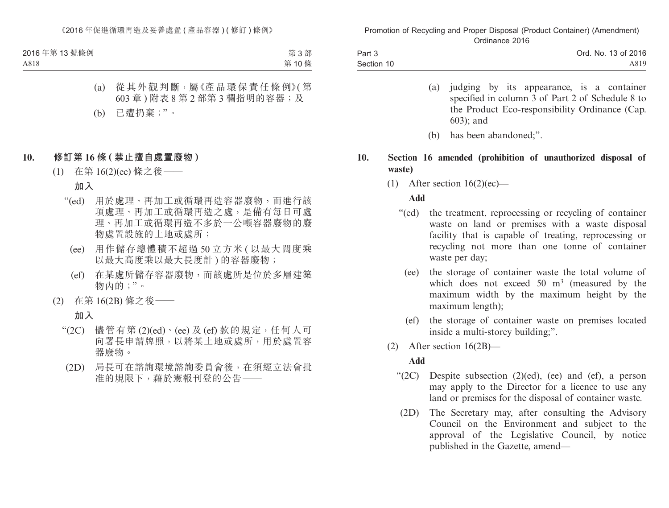| 2016年第13號條例 | 第3部  |
|-------------|------|
| A818        | 第10條 |

- (a) 從其外觀判斷,屬《產品環保責任條例》( 第 603 章 ) 附表 8 第 2 部第 3 欄指明的容器;及
- (b) 已遭扔棄;"。

## **10. 修訂第 16 條 ( 禁止擅自處置廢物 )**

(1) 在第 16(2)(ec) 條之後——

## **加入**

- "(ed) 用於處理、再加工或循環再造容器廢物,而進行該 項處理、再加工或循環再造之處,是備有每日可處 理、再加工或循環再造不多於一公噸容器廢物的廢 物處置設施的土地或處所;
	- (ee) 用作儲存總體積不超過 50 立方米 ( 以最大闊度乘 以最大高度乘以最大長度計 ) 的容器廢物;
	- (ef) 在某處所儲存容器廢物,而該處所是位於多層建築 物內的;"。
- (2) 在第 16(2B) 條之後——

### **加入**

- " $(2C)$  儘管有第 $(2)(ed) \cdot$  (ee) 及 (ef) 款的規定, 任何人可 向署長申請牌照,以將某土地或處所,用於處置容 器廢物。
	- (2D) 局長可在諮詢環境諮詢委員會後,在須經立法會批 准的規限下,藉於憲報刊登的公告——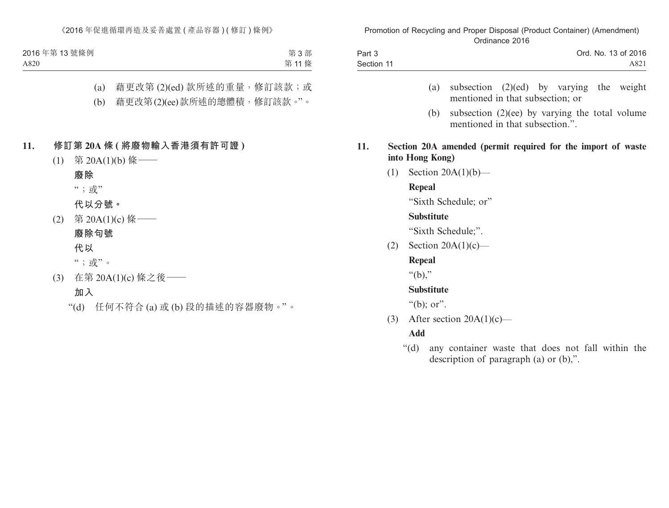| 2016年第13號條例 | 第3部  |
|-------------|------|
| A820        | 第11條 |

- (a) 藉更改第 (2)(ed) 款所述的重量,修訂該款;或
- (b) 藉更改第(2)(ee)款所述的總體積,修訂該款。"。

### **11. 修訂第 20A 條 ( 將廢物輸入香港須有許可證 )**

- (1) 第 20A(1)(b) 條——
	- **廢除**

";或"

**代以分號。**

(2) 第 20A(1)(c) 條——

**廢除句號**

**代以**

";或"。

- (3) 在第 20A(1)(c) 條之後—— **加入**
	- "(d) 任何不符合 (a) 或 (b) 段的描述的容器廢物。"。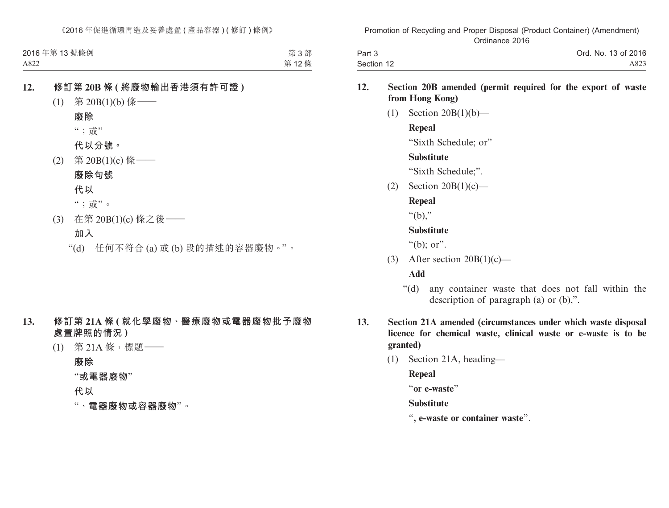| 2016年第13號條例 | 第3部  |
|-------------|------|
| A822        | 第12條 |

# **12. 修訂第 20B 條 ( 將廢物輸出香港須有許可證 )**

- (1) 第 20B(1)(b) 條——
	- **廢除**
	- ";或"

**代以分號。**

- (2) 第 20B(1)(c) 條——
	- **廢除句號**

**代以**

";或"。

(3) 在第 20B(1)(c) 條之後——

# **加入**

"(d) 任何不符合 (a) 或 (b) 段的描述的容器廢物。"。

## **13. 修訂第 21A 條 ( 就化學廢物、醫療廢物或電器廢物批予廢物 處置牌照的情況 )**

(1) 第 21A 條,標題——

**廢除**

"**或電器廢物**"

### **代以**

"**、電器廢物或容器廢物**"。